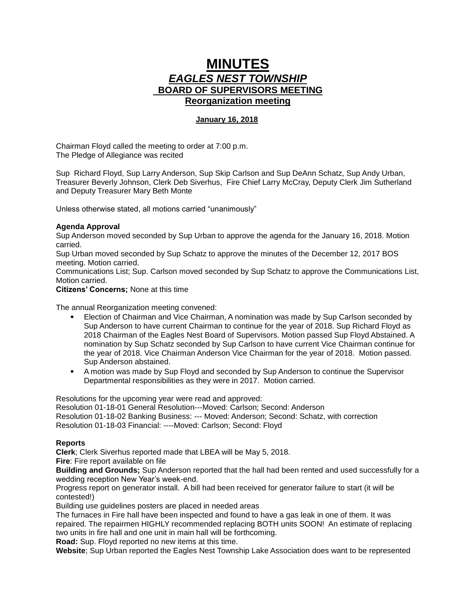## **MINUTES** *EAGLES NEST TOWNSHIP*  **BOARD OF SUPERVISORS MEETING Reorganization meeting**

## **January 16, 2018**

Chairman Floyd called the meeting to order at 7:00 p.m. The Pledge of Allegiance was recited

Sup Richard Floyd, Sup Larry Anderson, Sup Skip Carlson and Sup DeAnn Schatz, Sup Andy Urban, Treasurer Beverly Johnson, Clerk Deb Siverhus, Fire Chief Larry McCray, Deputy Clerk Jim Sutherland and Deputy Treasurer Mary Beth Monte

Unless otherwise stated, all motions carried "unanimously"

## **Agenda Approval**

Sup Anderson moved seconded by Sup Urban to approve the agenda for the January 16, 2018. Motion carried.

Sup Urban moved seconded by Sup Schatz to approve the minutes of the December 12, 2017 BOS meeting. Motion carried.

Communications List; Sup. Carlson moved seconded by Sup Schatz to approve the Communications List, Motion carried.

**Citizens' Concerns;** None at this time

The annual Reorganization meeting convened:

- Election of Chairman and Vice Chairman, A nomination was made by Sup Carlson seconded by Sup Anderson to have current Chairman to continue for the year of 2018. Sup Richard Floyd as 2018 Chairman of the Eagles Nest Board of Supervisors. Motion passed Sup Floyd Abstained. A nomination by Sup Schatz seconded by Sup Carlson to have current Vice Chairman continue for the year of 2018. Vice Chairman Anderson Vice Chairman for the year of 2018. Motion passed. Sup Anderson abstained.
- A motion was made by Sup Floyd and seconded by Sup Anderson to continue the Supervisor Departmental responsibilities as they were in 2017. Motion carried.

Resolutions for the upcoming year were read and approved:

Resolution 01-18-01 General Resolution---Moved: Carlson; Second: Anderson Resolution 01-18-02 Banking Business: --- Moved: Anderson; Second: Schatz, with correction Resolution 01-18-03 Financial: ----Moved: Carlson; Second: Floyd

## **Reports**

**Clerk**; Clerk Siverhus reported made that LBEA will be May 5, 2018.

**Fire**: Fire report available on file

**Building and Grounds;** Sup Anderson reported that the hall had been rented and used successfully for a wedding reception New Year's week-end.

Progress report on generator install. A bill had been received for generator failure to start (it will be contested!)

Building use guidelines posters are placed in needed areas

The furnaces in Fire hall have been inspected and found to have a gas leak in one of them. It was repaired. The repairmen HIGHLY recommended replacing BOTH units SOON! An estimate of replacing two units in fire hall and one unit in main hall will be forthcoming.

**Road:** Sup. Floyd reported no new items at this time.

**Website**; Sup Urban reported the Eagles Nest Township Lake Association does want to be represented